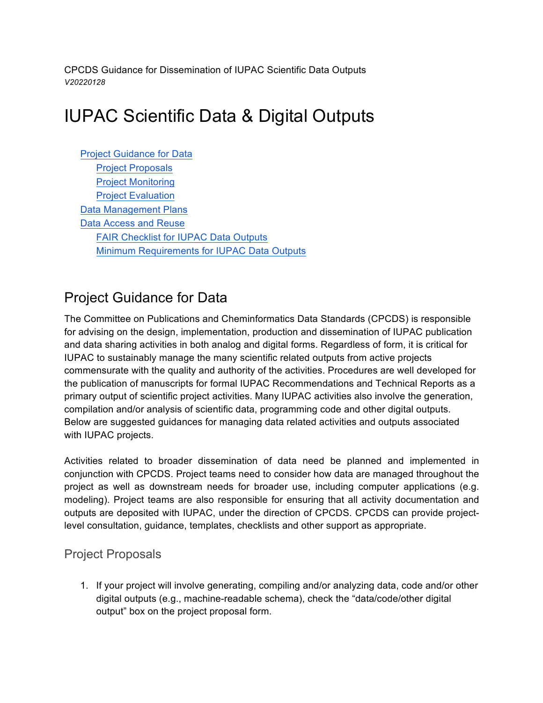CPCDS Guidance for Dissemination of IUPAC Scientific Data Outputs *V20220128*

# IUPAC Scientific Data & Digital Outputs

Project Guidance for Data Project Proposals Project Monitoring Project Evaluation Data Management Plans Data Access and Reuse FAIR Checklist for IUPAC Data Outputs Minimum Requirements for IUPAC Data Outputs

# Project Guidance for Data

The Committee on Publications and Cheminformatics Data Standards (CPCDS) is responsible for advising on the design, implementation, production and dissemination of IUPAC publication and data sharing activities in both analog and digital forms. Regardless of form, it is critical for IUPAC to sustainably manage the many scientific related outputs from active projects commensurate with the quality and authority of the activities. Procedures are well developed for the publication of manuscripts for formal IUPAC Recommendations and Technical Reports as a primary output of scientific project activities. Many IUPAC activities also involve the generation, compilation and/or analysis of scientific data, programming code and other digital outputs. Below are suggested guidances for managing data related activities and outputs associated with IUPAC projects.

Activities related to broader dissemination of data need be planned and implemented in conjunction with CPCDS. Project teams need to consider how data are managed throughout the project as well as downstream needs for broader use, including computer applications (e.g. modeling). Project teams are also responsible for ensuring that all activity documentation and outputs are deposited with IUPAC, under the direction of CPCDS. CPCDS can provide projectlevel consultation, guidance, templates, checklists and other support as appropriate.

#### Project Proposals

1. If your project will involve generating, compiling and/or analyzing data, code and/or other digital outputs (e.g., machine-readable schema), check the "data/code/other digital output" box on the project proposal form.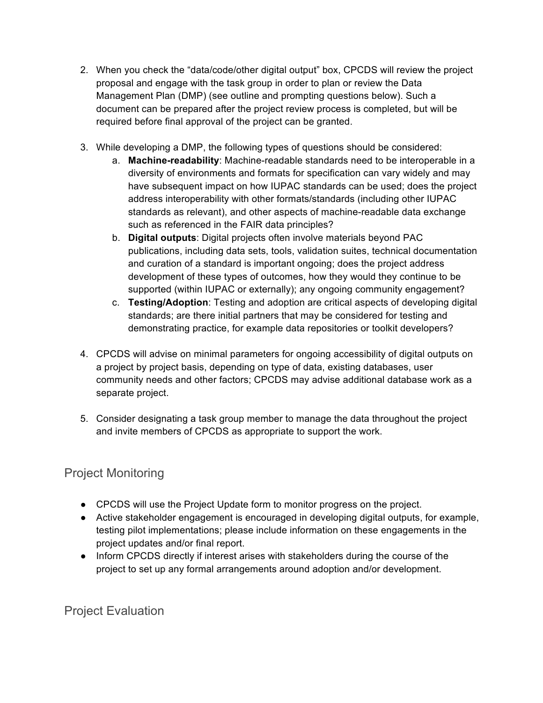- 2. When you check the "data/code/other digital output" box, CPCDS will review the project proposal and engage with the task group in order to plan or review the Data Management Plan (DMP) (see outline and prompting questions below). Such a document can be prepared after the project review process is completed, but will be required before final approval of the project can be granted.
- 3. While developing a DMP, the following types of questions should be considered:
	- a. **Machine-readability**: Machine-readable standards need to be interoperable in a diversity of environments and formats for specification can vary widely and may have subsequent impact on how IUPAC standards can be used; does the project address interoperability with other formats/standards (including other IUPAC standards as relevant), and other aspects of machine-readable data exchange such as referenced in the FAIR data principles?
	- b. **Digital outputs**: Digital projects often involve materials beyond PAC publications, including data sets, tools, validation suites, technical documentation and curation of a standard is important ongoing; does the project address development of these types of outcomes, how they would they continue to be supported (within IUPAC or externally); any ongoing community engagement?
	- c. **Testing/Adoption**: Testing and adoption are critical aspects of developing digital standards; are there initial partners that may be considered for testing and demonstrating practice, for example data repositories or toolkit developers?
- 4. CPCDS will advise on minimal parameters for ongoing accessibility of digital outputs on a project by project basis, depending on type of data, existing databases, user community needs and other factors; CPCDS may advise additional database work as a separate project.
- 5. Consider designating a task group member to manage the data throughout the project and invite members of CPCDS as appropriate to support the work.

### Project Monitoring

- CPCDS will use the Project Update form to monitor progress on the project.
- Active stakeholder engagement is encouraged in developing digital outputs, for example, testing pilot implementations; please include information on these engagements in the project updates and/or final report.
- Inform CPCDS directly if interest arises with stakeholders during the course of the project to set up any formal arrangements around adoption and/or development.

Project Evaluation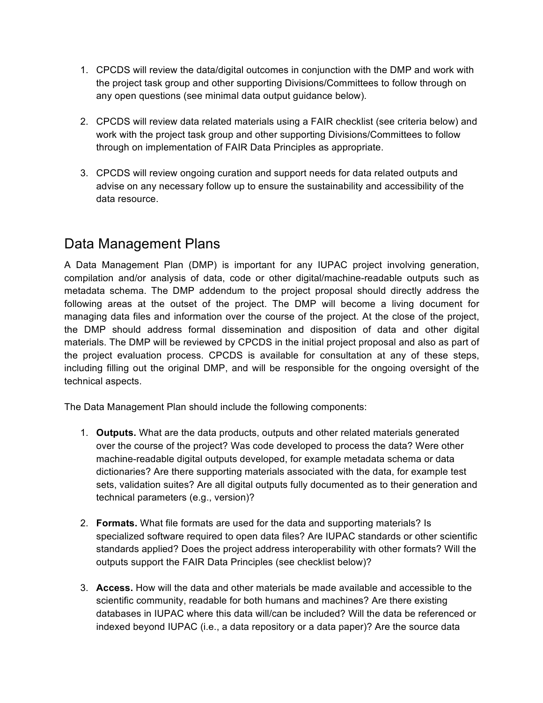- 1. CPCDS will review the data/digital outcomes in conjunction with the DMP and work with the project task group and other supporting Divisions/Committees to follow through on any open questions (see minimal data output guidance below).
- 2. CPCDS will review data related materials using a FAIR checklist (see criteria below) and work with the project task group and other supporting Divisions/Committees to follow through on implementation of FAIR Data Principles as appropriate.
- 3. CPCDS will review ongoing curation and support needs for data related outputs and advise on any necessary follow up to ensure the sustainability and accessibility of the data resource.

## Data Management Plans

A Data Management Plan (DMP) is important for any IUPAC project involving generation, compilation and/or analysis of data, code or other digital/machine-readable outputs such as metadata schema. The DMP addendum to the project proposal should directly address the following areas at the outset of the project. The DMP will become a living document for managing data files and information over the course of the project. At the close of the project, the DMP should address formal dissemination and disposition of data and other digital materials. The DMP will be reviewed by CPCDS in the initial project proposal and also as part of the project evaluation process. CPCDS is available for consultation at any of these steps, including filling out the original DMP, and will be responsible for the ongoing oversight of the technical aspects.

The Data Management Plan should include the following components:

- 1. **Outputs.** What are the data products, outputs and other related materials generated over the course of the project? Was code developed to process the data? Were other machine-readable digital outputs developed, for example metadata schema or data dictionaries? Are there supporting materials associated with the data, for example test sets, validation suites? Are all digital outputs fully documented as to their generation and technical parameters (e.g., version)?
- 2. **Formats.** What file formats are used for the data and supporting materials? Is specialized software required to open data files? Are IUPAC standards or other scientific standards applied? Does the project address interoperability with other formats? Will the outputs support the FAIR Data Principles (see checklist below)?
- 3. **Access.** How will the data and other materials be made available and accessible to the scientific community, readable for both humans and machines? Are there existing databases in IUPAC where this data will/can be included? Will the data be referenced or indexed beyond IUPAC (i.e., a data repository or a data paper)? Are the source data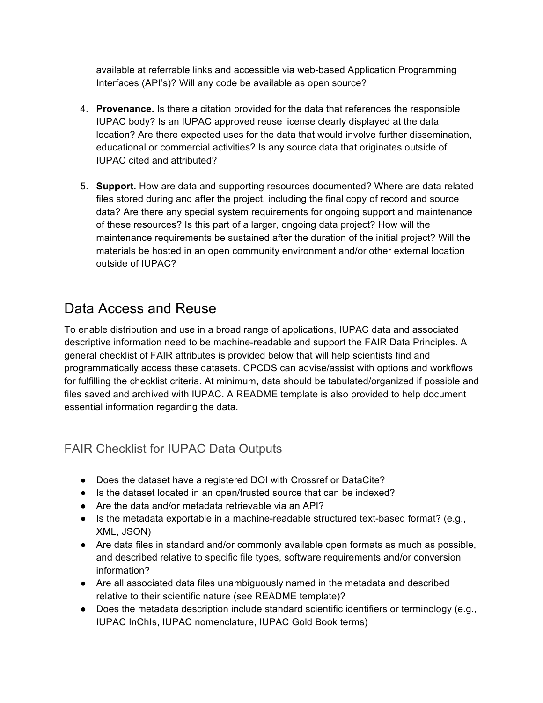available at referrable links and accessible via web-based Application Programming Interfaces (API's)? Will any code be available as open source?

- 4. **Provenance.** Is there a citation provided for the data that references the responsible IUPAC body? Is an IUPAC approved reuse license clearly displayed at the data location? Are there expected uses for the data that would involve further dissemination, educational or commercial activities? Is any source data that originates outside of IUPAC cited and attributed?
- 5. **Support.** How are data and supporting resources documented? Where are data related files stored during and after the project, including the final copy of record and source data? Are there any special system requirements for ongoing support and maintenance of these resources? Is this part of a larger, ongoing data project? How will the maintenance requirements be sustained after the duration of the initial project? Will the materials be hosted in an open community environment and/or other external location outside of IUPAC?

## Data Access and Reuse

To enable distribution and use in a broad range of applications, IUPAC data and associated descriptive information need to be machine-readable and support the FAIR Data Principles. A general checklist of FAIR attributes is provided below that will help scientists find and programmatically access these datasets. CPCDS can advise/assist with options and workflows for fulfilling the checklist criteria. At minimum, data should be tabulated/organized if possible and files saved and archived with IUPAC. A README template is also provided to help document essential information regarding the data.

### FAIR Checklist for IUPAC Data Outputs

- Does the dataset have a registered DOI with Crossref or DataCite?
- Is the dataset located in an open/trusted source that can be indexed?
- Are the data and/or metadata retrievable via an API?
- $\bullet$  Is the metadata exportable in a machine-readable structured text-based format? (e.g., XML, JSON)
- Are data files in standard and/or commonly available open formats as much as possible, and described relative to specific file types, software requirements and/or conversion information?
- Are all associated data files unambiguously named in the metadata and described relative to their scientific nature (see README template)?
- Does the metadata description include standard scientific identifiers or terminology (e.g., IUPAC InChIs, IUPAC nomenclature, IUPAC Gold Book terms)